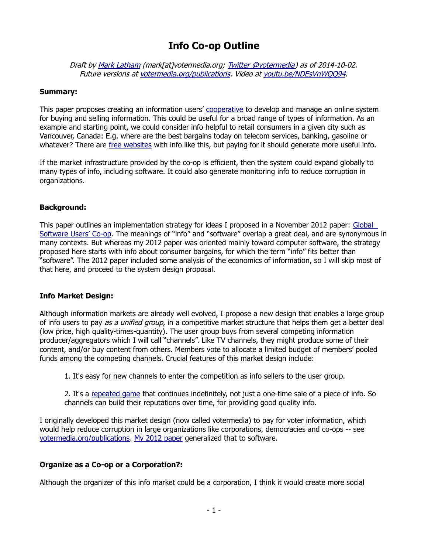# **Info Co-op Outline**

Draft by [Mark Latham](http://votermedia.org/about_contact) (mark[at]votermedia.org; [Twitter @votermedia\)](http://twitter.com/votermedia) as of 2014-10-02. Future versions at [votermedia.org/publications](http://votermedia.org/publications). Video at [youtu.be/NDEsVnWQQ94](http://youtu.be/NDEsVnWQQ94).

### **Summary:**

This paper proposes creating an information users' [cooperative](http://en.wikipedia.org/wiki/Cooperative) to develop and manage an online system for buying and selling information. This could be useful for a broad range of types of information. As an example and starting point, we could consider info helpful to retail consumers in a given city such as Vancouver, Canada: E.g. where are the best bargains today on telecom services, banking, gasoline or whatever? There are [free websites](http://www.vancouverdealsblog.com/) with info like this, but paying for it should generate more useful info.

If the market infrastructure provided by the co-op is efficient, then the system could expand globally to many types of info, including software. It could also generate monitoring info to reduce corruption in organizations.

# **Background:**

This paper outlines an implementation strategy for ideas I proposed in a November 2012 paper: [Global](http://votermedia.org/publications/GlobalSoftwareUsersCo-op.pdf)  [Software Users' Co-op.](http://votermedia.org/publications/GlobalSoftwareUsersCo-op.pdf) The meanings of "info" and "software" overlap a great deal, and are synonymous in many contexts. But whereas my 2012 paper was oriented mainly toward computer software, the strategy proposed here starts with info about consumer bargains, for which the term "info" fits better than "software". The 2012 paper included some analysis of the economics of information, so I will skip most of that here, and proceed to the system design proposal.

### **Info Market Design:**

Although information markets are already well evolved, I propose a new design that enables a large group of info users to pay as a unified group, in a competitive market structure that helps them get a better deal (low price, high quality-times-quantity). The user group buys from several competing information producer/aggregators which I will call "channels". Like TV channels, they might produce some of their content, and/or buy content from others. Members vote to allocate a limited budget of members' pooled funds among the competing channels. Crucial features of this market design include:

1. It's easy for new channels to enter the competition as info sellers to the user group.

2. It's a [repeated game](http://en.wikipedia.org/wiki/Repeated_game) that continues indefinitely, not just a one-time sale of a piece of info. So channels can build their reputations over time, for providing good quality info.

I originally developed this market design (now called votermedia) to pay for voter information, which would help reduce corruption in large organizations like corporations, democracies and co-ops -- see [votermedia.org/publications.](http://votermedia.org/publications) [My 2012 paper](http://votermedia.org/publications/GlobalSoftwareUsersCo-op.pdf) generalized that to software.

### **Organize as a Co-op or a Corporation?:**

Although the organizer of this info market could be a corporation, I think it would create more social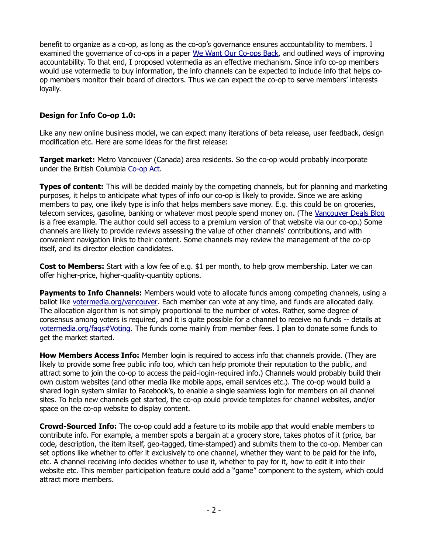benefit to organize as a co-op, as long as the co-op's governance ensures accountability to members. I examined the governance of co-ops in a paper [We Want Our Co-ops Back,](http://votermedia.org/publications/WeWantOurCo-opsBack.pdf) and outlined ways of improving accountability. To that end, I proposed votermedia as an effective mechanism. Since info co-op members would use votermedia to buy information, the info channels can be expected to include info that helps coop members monitor their board of directors. Thus we can expect the co-op to serve members' interests loyally.

# **Design for Info Co-op 1.0:**

Like any new online business model, we can expect many iterations of beta release, user feedback, design modification etc. Here are some ideas for the first release:

**Target market:** Metro Vancouver (Canada) area residents. So the co-op would probably incorporate under the British Columbia [Co-op Act.](http://www.bclaws.ca/EPLibraries/bclaws_new/document/ID/freeside/00_99028_01)

**Types of content:** This will be decided mainly by the competing channels, but for planning and marketing purposes, it helps to anticipate what types of info our co-op is likely to provide. Since we are asking members to pay, one likely type is info that helps members save money. E.g. this could be on groceries, telecom services, gasoline, banking or whatever most people spend money on. (The [Vancouver Deals Blog](http://www.vancouverdealsblog.com/) is a free example. The author could sell access to a premium version of that website via our co-op.) Some channels are likely to provide reviews assessing the value of other channels' contributions, and with convenient navigation links to their content. Some channels may review the management of the co-op itself, and its director election candidates.

**Cost to Members:** Start with a low fee of e.g. \$1 per month, to help grow membership. Later we can offer higher-price, higher-quality-quantity options.

**Payments to Info Channels:** Members would vote to allocate funds among competing channels, using a ballot like [votermedia.org/vancouver.](http://votermedia.org/vancouver) Each member can vote at any time, and funds are allocated daily. The allocation algorithm is not simply proportional to the number of votes. Rather, some degree of consensus among voters is required, and it is quite possible for a channel to receive no funds -- details at [votermedia.org/faqs#Voting.](http://votermedia.org/faqs#Voting) The funds come mainly from member fees. I plan to donate some funds to get the market started.

**How Members Access Info:** Member login is required to access info that channels provide. (They are likely to provide some free public info too, which can help promote their reputation to the public, and attract some to join the co-op to access the paid-login-required info.) Channels would probably build their own custom websites (and other media like mobile apps, email services etc.). The co-op would build a shared login system similar to Facebook's, to enable a single seamless login for members on all channel sites. To help new channels get started, the co-op could provide templates for channel websites, and/or space on the co-op website to display content.

**Crowd-Sourced Info:** The co-op could add a feature to its mobile app that would enable members to contribute info. For example, a member spots a bargain at a grocery store, takes photos of it (price, bar code, description, the item itself, geo-tagged, time-stamped) and submits them to the co-op. Member can set options like whether to offer it exclusively to one channel, whether they want to be paid for the info, etc. A channel receiving info decides whether to use it, whether to pay for it, how to edit it into their website etc. This member participation feature could add a "game" component to the system, which could attract more members.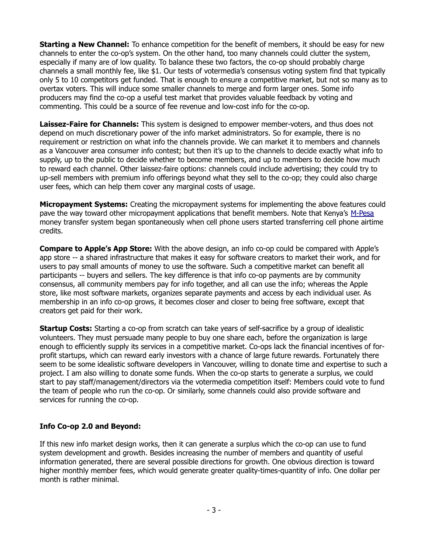**Starting a New Channel:** To enhance competition for the benefit of members, it should be easy for new channels to enter the co-op's system. On the other hand, too many channels could clutter the system, especially if many are of low quality. To balance these two factors, the co-op should probably charge channels a small monthly fee, like \$1. Our tests of votermedia's consensus voting system find that typically only 5 to 10 competitors get funded. That is enough to ensure a competitive market, but not so many as to overtax voters. This will induce some smaller channels to merge and form larger ones. Some info producers may find the co-op a useful test market that provides valuable feedback by voting and commenting. This could be a source of fee revenue and low-cost info for the co-op.

**Laissez-Faire for Channels:** This system is designed to empower member-voters, and thus does not depend on much discretionary power of the info market administrators. So for example, there is no requirement or restriction on what info the channels provide. We can market it to members and channels as a Vancouver area consumer info contest; but then it's up to the channels to decide exactly what info to supply, up to the public to decide whether to become members, and up to members to decide how much to reward each channel. Other laissez-faire options: channels could include advertising; they could try to up-sell members with premium info offerings beyond what they sell to the co-op; they could also charge user fees, which can help them cover any marginal costs of usage.

**Micropayment Systems:** Creating the micropayment systems for implementing the above features could pave the way toward other micropayment applications that benefit members. Note that Kenya's [M-Pesa](http://en.wikipedia.org/wiki/M-Pesa) money transfer system began spontaneously when cell phone users started transferring cell phone airtime credits.

**Compare to Apple's App Store:** With the above design, an info co-op could be compared with Apple's app store -- a shared infrastructure that makes it easy for software creators to market their work, and for users to pay small amounts of money to use the software. Such a competitive market can benefit all participants -- buyers and sellers. The key difference is that info co-op payments are by community consensus, all community members pay for info together, and all can use the info; whereas the Apple store, like most software markets, organizes separate payments and access by each individual user. As membership in an info co-op grows, it becomes closer and closer to being free software, except that creators get paid for their work.

**Startup Costs:** Starting a co-op from scratch can take years of self-sacrifice by a group of idealistic volunteers. They must persuade many people to buy one share each, before the organization is large enough to efficiently supply its services in a competitive market. Co-ops lack the financial incentives of forprofit startups, which can reward early investors with a chance of large future rewards. Fortunately there seem to be some idealistic software developers in Vancouver, willing to donate time and expertise to such a project. I am also willing to donate some funds. When the co-op starts to generate a surplus, we could start to pay staff/management/directors via the votermedia competition itself: Members could vote to fund the team of people who run the co-op. Or similarly, some channels could also provide software and services for running the co-op.

### **Info Co-op 2.0 and Beyond:**

If this new info market design works, then it can generate a surplus which the co-op can use to fund system development and growth. Besides increasing the number of members and quantity of useful information generated, there are several possible directions for growth. One obvious direction is toward higher monthly member fees, which would generate greater quality-times-quantity of info. One dollar per month is rather minimal.